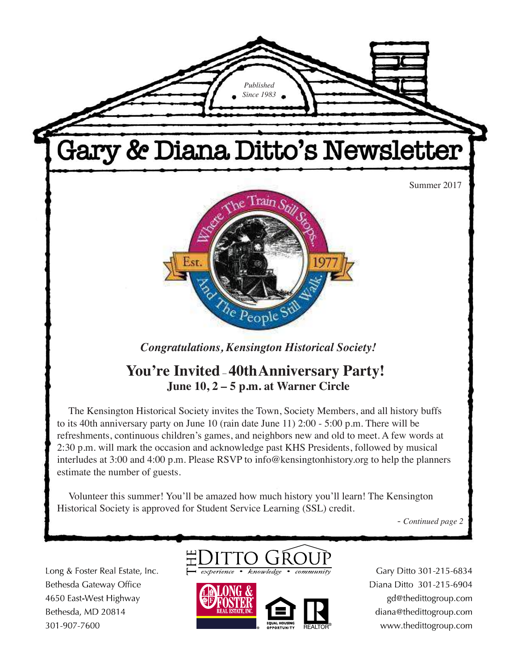

- *Continued page 2*

Long & Foster Real Estate, Inc. Bethesda Gateway Office 4650 East-West Highway Bethesda, MD 20814 301-907-7600





Gary Ditto 301-215-6834 Diana Ditto 301-215-6904 gd@thedittogroup.com diana@thedittogroup.com www.thedittogroup.com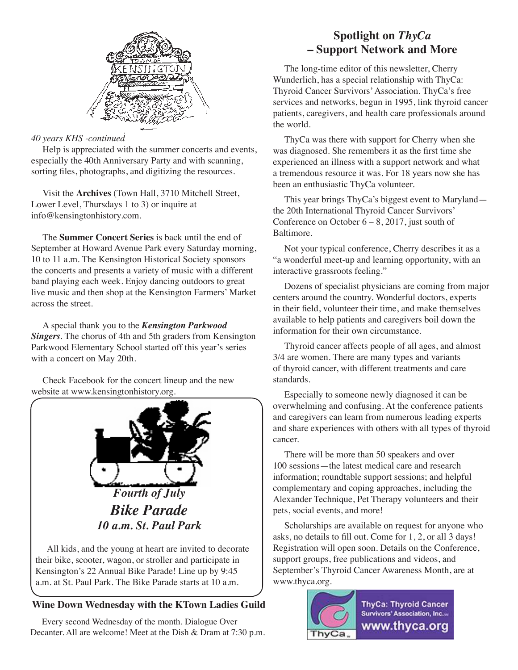

### *40 years KHS -continued*

Help is appreciated with the summer concerts and events, especially the 40th Anniversary Party and with scanning, sorting files, photographs, and digitizing the resources.

Visit the **Archives** (Town Hall, 3710 Mitchell Street, Lower Level, Thursdays 1 to 3) or inquire at info@kensingtonhistory.com.

The **Summer Concert Series** is back until the end of September at Howard Avenue Park every Saturday morning, 10 to 11 a.m. The Kensington Historical Society sponsors the concerts and presents a variety of music with a different band playing each week. Enjoy dancing outdoors to great live music and then shop at the Kensington Farmers' Market across the street.

A special thank you to the *Kensington Parkwood Singers*. The chorus of 4th and 5th graders from Kensington Parkwood Elementary School started off this year's series with a concert on May 20th.

Check Facebook for the concert lineup and the new website at www.kensingtonhistory.org.



All kids, and the young at heart are invited to decorate their bike, scooter, wagon, or stroller and participate in Kensington's 22 Annual Bike Parade! Line up by 9:45 a.m. at St. Paul Park. The Bike Parade starts at 10 a.m.

### **Wine Down Wednesday with the KTown Ladies Guild**

Every second Wednesday of the month. Dialogue Over Decanter. All are welcome! Meet at the Dish & Dram at 7:30 p.m.

# **Spotlight on** *ThyCa* **– Support Network and More**

The long-time editor of this newsletter, Cherry Wunderlich, has a special relationship with ThyCa: Thyroid Cancer Survivors' Association. ThyCa's free services and networks, begun in 1995, link thyroid cancer patients, caregivers, and health care professionals around the world.

ThyCa was there with support for Cherry when she was diagnosed. She remembers it as the first time she experienced an illness with a support network and what a tremendous resource it was. For 18 years now she has been an enthusiastic ThyCa volunteer.

This year brings ThyCa's biggest event to Maryland the 20th International Thyroid Cancer Survivors' Conference on October  $6 - 8$ , 2017, just south of Baltimore.

Not your typical conference, Cherry describes it as a "a wonderful meet-up and learning opportunity, with an interactive grassroots feeling."

Dozens of specialist physicians are coming from major centers around the country. Wonderful doctors, experts in their field, volunteer their time, and make themselves available to help patients and caregivers boil down the information for their own circumstance.

Thyroid cancer affects people of all ages, and almost 3/4 are women. There are many types and variants of thyroid cancer, with different treatments and care standards.

Especially to someone newly diagnosed it can be overwhelming and confusing. At the conference patients and caregivers can learn from numerous leading experts and share experiences with others with all types of thyroid cancer.

There will be more than 50 speakers and over 100 sessions—the latest medical care and research information; roundtable support sessions; and helpful complementary and coping approaches, including the Alexander Technique, Pet Therapy volunteers and their pets, social events, and more!

Scholarships are available on request for anyone who asks, no details to fill out. Come for 1, 2, or all 3 days! Registration will open soon. Details on the Conference, support groups, free publications and videos, and September's Thyroid Cancer Awareness Month, are at www.thyca.org.

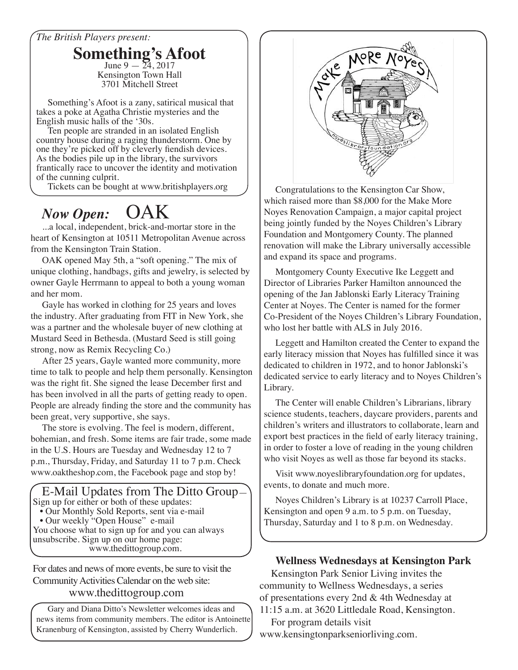## *The British Players present:*

**Something's Afoot** Kensington Town Hall 3701 Mitchell Street

Something's Afoot is a zany, satirical musical that takes a poke at Agatha Christie mysteries and the English music halls of the '30s.

Ten people are stranded in an isolated English country house during a raging thunderstorm. One by one they're picked off by cleverly fiendish devices. As the bodies pile up in the library, the survivors frantically race to uncover the identity and motivation of the cunning culprit.<br>Tickets can be bought at www.britishplayers.org

# *Now Open:* OAK

...a local, independent, brick-and-mortar store in the heart of Kensington at 10511 Metropolitan Avenue across from the Kensington Train Station.

OAK opened May 5th, a "soft opening." The mix of unique clothing, handbags, gifts and jewelry, is selected by owner Gayle Herrmann to appeal to both a young woman and her mom.

Gayle has worked in clothing for 25 years and loves the industry. After graduating from FIT in New York, she was a partner and the wholesale buyer of new clothing at Mustard Seed in Bethesda. (Mustard Seed is still going strong, now as Remix Recycling Co.)

After 25 years, Gayle wanted more community, more time to talk to people and help them personally. Kensington was the right fit. She signed the lease December first and has been involved in all the parts of getting ready to open. People are already finding the store and the community has been great, very supportive, she says.

The store is evolving. The feel is modern, different, bohemian, and fresh. Some items are fair trade, some made in the U.S. Hours are Tuesday and Wednesday 12 to 7 p.m., Thursday, Friday, and Saturday 11 to 7 p.m. Check www.oaktheshop.com, the Facebook page and stop by!

 E-Mail Updates from The Ditto Group— Sign up for either or both of these updates: • Our Monthly Sold Reports, sent via e-mail

• Our weekly "Open House" e-mail

You choose what to sign up for and you can always unsubscribe. Sign up on our home page: www.thedittogroup.com.

For dates and news of more events, be sure to visit the Community Activities Calendar on the web site:

#### www.thedittogroup.com

Gary and Diana Ditto's Newsletter welcomes ideas and news items from community members. The editor is Antoinette Kranenburg of Kensington, assisted by Cherry Wunderlich.



Congratulations to the Kensington Car Show, which raised more than \$8,000 for the Make More Noyes Renovation Campaign, a major capital project being jointly funded by the Noyes Children's Library Foundation and Montgomery County. The planned renovation will make the Library universally accessible and expand its space and programs.

Montgomery County Executive Ike Leggett and Director of Libraries Parker Hamilton announced the opening of the Jan Jablonski Early Literacy Training Center at Noyes. The Center is named for the former Co-President of the Noyes Children's Library Foundation, who lost her battle with ALS in July 2016.

Leggett and Hamilton created the Center to expand the early literacy mission that Noyes has fulfilled since it was dedicated to children in 1972, and to honor Jablonski's dedicated service to early literacy and to Noyes Children's Library.

The Center will enable Children's Librarians, library science students, teachers, daycare providers, parents and children's writers and illustrators to collaborate, learn and export best practices in the field of early literacy training, in order to foster a love of reading in the young children who visit Noyes as well as those far beyond its stacks.

Visit www.noyeslibraryfoundation.org for updates, events, to donate and much more.

Noyes Children's Library is at 10237 Carroll Place, Kensington and open 9 a.m. to 5 p.m. on Tuesday, Thursday, Saturday and 1 to 8 p.m. on Wednesday.

### **Wellness Wednesdays at Kensington Park**

Kensington Park Senior Living invites the community to Wellness Wednesdays, a series of presentations every 2nd & 4th Wednesday at 11:15 a.m. at 3620 Littledale Road, Kensington.

For program details visit

www.kensingtonparkseniorliving.com.